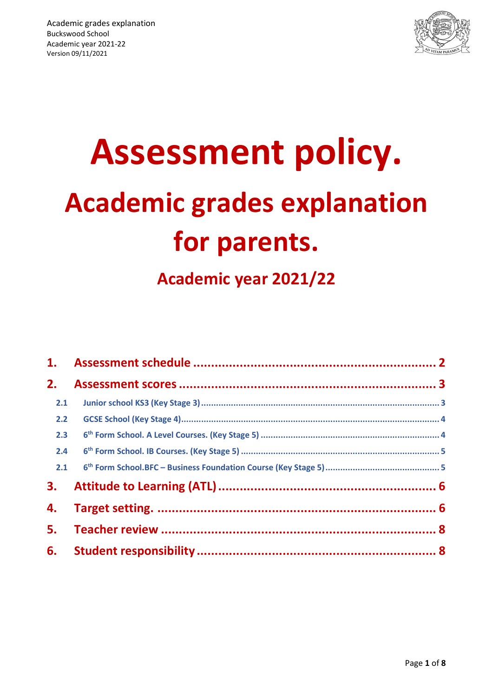

# Assessment policy. Academic grades explanation for parents.

Academic year 2021/22

| 2.1 |  |
|-----|--|
| 2.2 |  |
| 2.3 |  |
| 2.4 |  |
| 2.1 |  |
|     |  |
|     |  |
|     |  |
|     |  |
|     |  |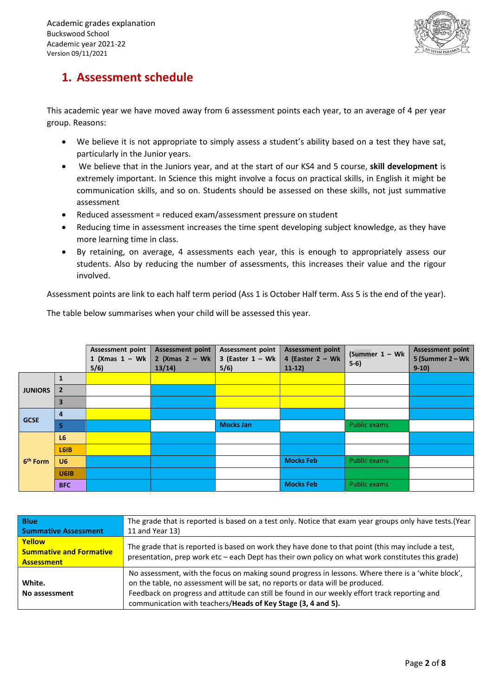

## 1. Assessment schedule

This academic year we have moved away from 6 assessment points each year, to an average of 4 per year group. Reasons:

- We believe it is not appropriate to simply assess a student's ability based on a test they have sat, particularly in the Junior years.
- We believe that in the Juniors year, and at the start of our KS4 and 5 course, skill development is extremely important. In Science this might involve a focus on practical skills, in English it might be communication skills, and so on. Students should be assessed on these skills, not just summative assessment
- Reduced assessment = reduced exam/assessment pressure on student
- Reducing time in assessment increases the time spent developing subject knowledge, as they have more learning time in class.
- By retaining, on average, 4 assessments each year, this is enough to appropriately assess our students. Also by reducing the number of assessments, this increases their value and the rigour involved.

Assessment points are link to each half term period (Ass 1 is October Half term. Ass 5 is the end of the year).

The table below summarises when your child will be assessed this year.

|                      |                         | <b>Assessment point</b><br>1 (Xmas $1 - Wk$<br>5/6) | <b>Assessment point</b><br>2 (Xmas $2 - Wk$<br>13/14) | <b>Assessment point</b><br>3 (Easter $1 - Wk$<br>5/6) | <b>Assessment point</b><br>4 (Easter $2 - Wk$<br>$11-12)$ | (Summer $1 - Wk$<br>$5-6)$ | <b>Assessment point</b><br>5 (Summer 2 – Wk<br>$9-10$ |
|----------------------|-------------------------|-----------------------------------------------------|-------------------------------------------------------|-------------------------------------------------------|-----------------------------------------------------------|----------------------------|-------------------------------------------------------|
|                      |                         |                                                     |                                                       |                                                       |                                                           |                            |                                                       |
| <b>JUNIORS</b>       | $\overline{2}$          |                                                     |                                                       |                                                       |                                                           |                            |                                                       |
|                      | $\overline{\mathbf{3}}$ |                                                     |                                                       |                                                       |                                                           |                            |                                                       |
| <b>GCSE</b>          | 4                       |                                                     |                                                       |                                                       |                                                           |                            |                                                       |
|                      | 5                       |                                                     |                                                       | <b>Mocks Jan</b>                                      |                                                           | <b>Public exams</b>        |                                                       |
| 6 <sup>th</sup> Form | L6                      |                                                     |                                                       |                                                       |                                                           |                            |                                                       |
|                      | L6IB                    |                                                     |                                                       |                                                       |                                                           |                            |                                                       |
|                      | U <sub>6</sub>          |                                                     |                                                       |                                                       | <b>Mocks Feb</b>                                          | <b>Public exams</b>        |                                                       |
|                      | U6IB                    |                                                     |                                                       |                                                       |                                                           |                            |                                                       |
|                      | <b>BFC</b>              |                                                     |                                                       |                                                       | <b>Mocks Feb</b>                                          | Public exams               |                                                       |

| <b>Blue</b>                                                   | The grade that is reported is based on a test only. Notice that exam year groups only have tests. (Year                                                                                                                                                                                                                                              |
|---------------------------------------------------------------|------------------------------------------------------------------------------------------------------------------------------------------------------------------------------------------------------------------------------------------------------------------------------------------------------------------------------------------------------|
| <b>Summative Assessment</b>                                   | 11 and Year 13)                                                                                                                                                                                                                                                                                                                                      |
| Yellow<br><b>Summative and Formative</b><br><b>Assessment</b> | The grade that is reported is based on work they have done to that point (this may include a test,<br>presentation, prep work etc – each Dept has their own policy on what work constitutes this grade)                                                                                                                                              |
| White.<br>No assessment                                       | No assessment, with the focus on making sound progress in lessons. Where there is a 'white block',<br>on the table, no assessment will be sat, no reports or data will be produced.<br>Feedback on progress and attitude can still be found in our weekly effort track reporting and<br>communication with teachers/Heads of Key Stage (3, 4 and 5). |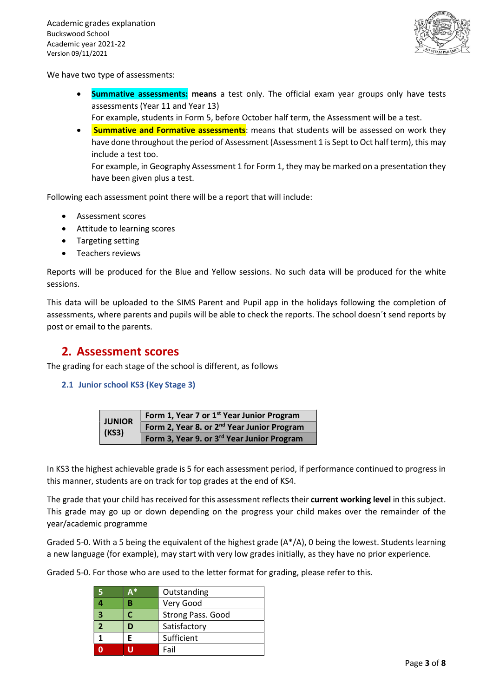

We have two type of assessments:

- Summative assessments: means a test only. The official exam year groups only have tests assessments (Year 11 and Year 13)
	- For example, students in Form 5, before October half term, the Assessment will be a test.
- **Summative and Formative assessments**: means that students will be assessed on work they have done throughout the period of Assessment (Assessment 1 is Sept to Oct half term), this may include a test too.

For example, in Geography Assessment 1 for Form 1, they may be marked on a presentation they have been given plus a test.

Following each assessment point there will be a report that will include:

- Assessment scores
- Attitude to learning scores
- Targeting setting
- Teachers reviews

Reports will be produced for the Blue and Yellow sessions. No such data will be produced for the white sessions.

This data will be uploaded to the SIMS Parent and Pupil app in the holidays following the completion of assessments, where parents and pupils will be able to check the reports. The school doesn´t send reports by post or email to the parents.

### 2. Assessment scores

The grading for each stage of the school is different, as follows

2.1 Junior school KS3 (Key Stage 3)

| <b>JUNIOR</b> | Form 1, Year 7 or 1 <sup>st</sup> Year Junior Program  |
|---------------|--------------------------------------------------------|
| (KS3)         | Form 2, Year 8. or 2 <sup>nd</sup> Year Junior Program |
|               | Form 3, Year 9. or 3rd Year Junior Program             |

In KS3 the highest achievable grade is 5 for each assessment period, if performance continued to progress in this manner, students are on track for top grades at the end of KS4.

The grade that your child has received for this assessment reflects their current working level in this subject. This grade may go up or down depending on the progress your child makes over the remainder of the year/academic programme

Graded 5-0. With a 5 being the equivalent of the highest grade (A\*/A), 0 being the lowest. Students learning a new language (for example), may start with very low grades initially, as they have no prior experience.

Graded 5-0. For those who are used to the letter format for grading, please refer to this.

| Δ* | Outstanding       |
|----|-------------------|
| B  | Very Good         |
|    | Strong Pass. Good |
| D  | Satisfactory      |
| F  | Sufficient        |
|    | Fail              |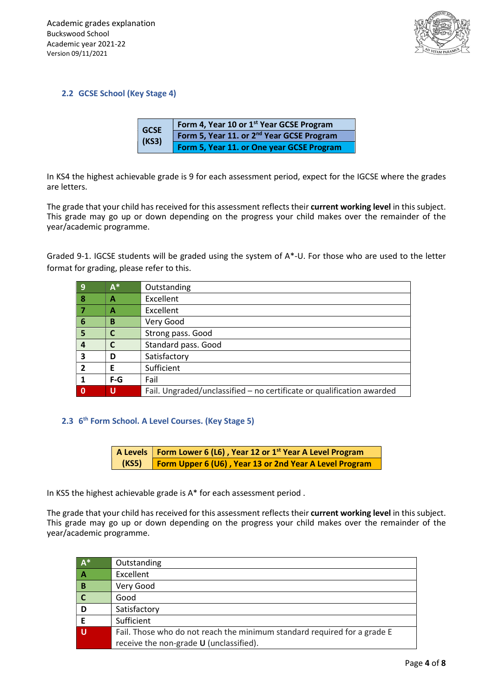

#### 2.2 GCSE School (Key Stage 4)

| <b>GCSE</b> | Form 4, Year 10 or 1 <sup>st</sup> Year GCSE Program  |
|-------------|-------------------------------------------------------|
| (KS3)       | Form 5, Year 11. or 2 <sup>nd</sup> Year GCSE Program |
|             | Form 5, Year 11. or One year GCSE Program             |

In KS4 the highest achievable grade is 9 for each assessment period, expect for the IGCSE where the grades are letters.

The grade that your child has received for this assessment reflects their current working level in this subject. This grade may go up or down depending on the progress your child makes over the remainder of the year/academic programme.

Graded 9-1. IGCSE students will be graded using the system of A\*-U. For those who are used to the letter format for grading, please refer to this.

| 9                       | $A^*$ | Outstanding                                                           |
|-------------------------|-------|-----------------------------------------------------------------------|
| 8                       | А     | Excellent                                                             |
|                         | А     | Excellent                                                             |
| 6                       | B     | Very Good                                                             |
| 5                       |       | Strong pass. Good                                                     |
| $\overline{4}$          |       | Standard pass. Good                                                   |
| $\overline{\mathbf{3}}$ | D     | Satisfactory                                                          |
| $\overline{2}$          | F     | Sufficient                                                            |
| $\mathbf{1}$            | $F-G$ | Fail                                                                  |
| $\mathbf 0$             | U     | Fail. Ungraded/unclassified - no certificate or qualification awarded |

#### 2.3 6<sup>th</sup> Form School. A Level Courses. (Key Stage 5)

A Levels (KS5) Form Lower 6 (L6), Year 12 or 1<sup>st</sup> Year A Level Program Form Upper 6 (U6) , Year 13 or 2nd Year A Level Program

In KS5 the highest achievable grade is A\* for each assessment period .

The grade that your child has received for this assessment reflects their current working level in this subject. This grade may go up or down depending on the progress your child makes over the remainder of the year/academic programme.

| $A^*$     | Outstanding                                                              |
|-----------|--------------------------------------------------------------------------|
| A         | Excellent                                                                |
| $\vert$ B | Very Good                                                                |
| $\vert$ C | Good                                                                     |
| D         | Satisfactory                                                             |
| E         | Sufficient                                                               |
| ី U       | Fail. Those who do not reach the minimum standard required for a grade E |
|           | receive the non-grade U (unclassified).                                  |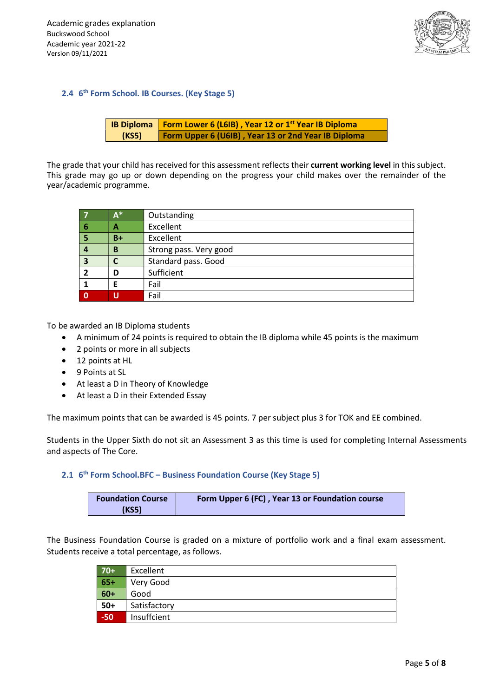

#### 2.4 6<sup>th</sup> Form School. IB Courses. (Key Stage 5)

IB Diploma (KS5) Form Lower 6 (L6IB), Year 12 or 1<sup>st</sup> Year IB Diploma Form Upper 6 (U6IB) , Year 13 or 2nd Year IB Diploma

The grade that your child has received for this assessment reflects their current working level in this subject. This grade may go up or down depending on the progress your child makes over the remainder of the year/academic programme.

|   | A <sup>*</sup> | Outstanding            |
|---|----------------|------------------------|
| 6 | А              | Excellent              |
| 5 | B+             | Excellent              |
|   | B              | Strong pass. Very good |
| З |                | Standard pass. Good    |
|   | D              | Sufficient             |
|   |                | Fail                   |
|   | U              | Fail                   |

To be awarded an IB Diploma students

- A minimum of 24 points is required to obtain the IB diploma while 45 points is the maximum
- 2 points or more in all subjects
- 12 points at HL
- 9 Points at SL
- At least a D in Theory of Knowledge
- At least a D in their Extended Essay

The maximum points that can be awarded is 45 points. 7 per subject plus 3 for TOK and EE combined.

Students in the Upper Sixth do not sit an Assessment 3 as this time is used for completing Internal Assessments and aspects of The Core.

#### 2.1 6<sup>th</sup> Form School.BFC - Business Foundation Course (Key Stage 5)

| <b>Foundation Course</b> | Form Upper 6 (FC), Year 13 or Foundation course |
|--------------------------|-------------------------------------------------|
| (KS5)                    |                                                 |

The Business Foundation Course is graded on a mixture of portfolio work and a final exam assessment. Students receive a total percentage, as follows.

| $70+$ | Excellent    |
|-------|--------------|
| $65+$ | Very Good    |
| $60+$ | Good         |
| $50+$ | Satisfactory |
| $-50$ | Insuffcient  |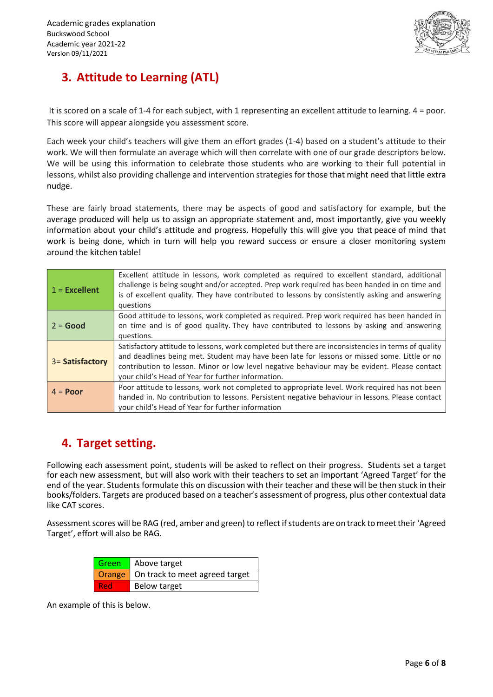

## 3. Attitude to Learning (ATL)

 It is scored on a scale of 1-4 for each subject, with 1 representing an excellent attitude to learning. 4 = poor. This score will appear alongside you assessment score.

Each week your child's teachers will give them an effort grades (1-4) based on a student's attitude to their work. We will then formulate an average which will then correlate with one of our grade descriptors below. We will be using this information to celebrate those students who are working to their full potential in lessons, whilst also providing challenge and intervention strategies for those that might need that little extra nudge.

These are fairly broad statements, there may be aspects of good and satisfactory for example, but the average produced will help us to assign an appropriate statement and, most importantly, give you weekly information about your child's attitude and progress. Hopefully this will give you that peace of mind that work is being done, which in turn will help you reward success or ensure a closer monitoring system around the kitchen table!

| $1 =$ Excellent | Excellent attitude in lessons, work completed as required to excellent standard, additional<br>challenge is being sought and/or accepted. Prep work required has been handed in on time and<br>is of excellent quality. They have contributed to lessons by consistently asking and answering<br>questions                                               |
|-----------------|----------------------------------------------------------------------------------------------------------------------------------------------------------------------------------------------------------------------------------------------------------------------------------------------------------------------------------------------------------|
| $2 = Good$      | Good attitude to lessons, work completed as required. Prep work required has been handed in<br>on time and is of good quality. They have contributed to lessons by asking and answering                                                                                                                                                                  |
|                 | questions.                                                                                                                                                                                                                                                                                                                                               |
| 3= Satisfactory | Satisfactory attitude to lessons, work completed but there are inconsistencies in terms of quality<br>and deadlines being met. Student may have been late for lessons or missed some. Little or no<br>contribution to lesson. Minor or low level negative behaviour may be evident. Please contact<br>your child's Head of Year for further information. |
| $4 = Poor$      | Poor attitude to lessons, work not completed to appropriate level. Work required has not been                                                                                                                                                                                                                                                            |
|                 | handed in. No contribution to lessons. Persistent negative behaviour in lessons. Please contact                                                                                                                                                                                                                                                          |
|                 | your child's Head of Year for further information                                                                                                                                                                                                                                                                                                        |

## 4. Target setting.

Following each assessment point, students will be asked to reflect on their progress. Students set a target for each new assessment, but will also work with their teachers to set an important 'Agreed Target' for the end of the year. Students formulate this on discussion with their teacher and these will be then stuck in their books/folders. Targets are produced based on a teacher's assessment of progress, plus other contextual data like CAT scores.

Assessment scores will be RAG (red, amber and green) to reflect if students are on track to meet their 'Agreed Target', effort will also be RAG.

| Green      | Above target                                 |  |  |  |  |
|------------|----------------------------------------------|--|--|--|--|
|            | <b>Orange</b> On track to meet agreed target |  |  |  |  |
| <b>Red</b> | Below target                                 |  |  |  |  |

An example of this is below.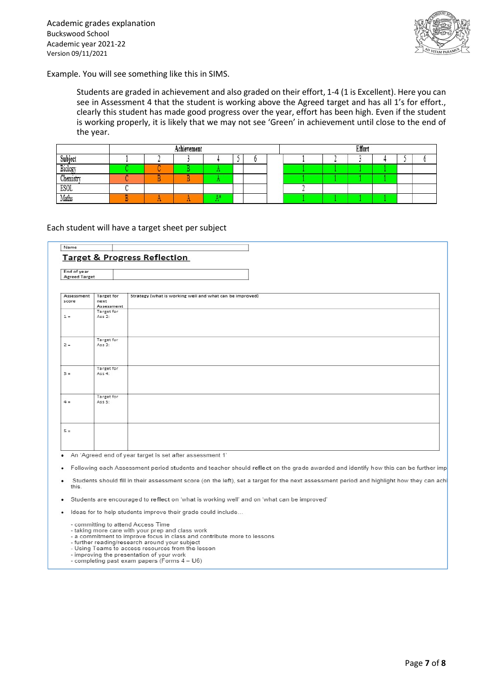

Example. You will see something like this in SIMS.

Students are graded in achievement and also graded on their effort, 1-4 (1 is Excellent). Here you can see in Assessment 4 that the student is working above the Agreed target and has all 1's for effort., clearly this student has made good progress over the year, effort has been high. Even if the student is working properly, it is likely that we may not see 'Green' in achievement until close to the end of the year.

|           | Achievement |  |  |  |  |  | Effort |  |  |  |  |  |  |
|-----------|-------------|--|--|--|--|--|--------|--|--|--|--|--|--|
| Subject   |             |  |  |  |  |  |        |  |  |  |  |  |  |
| Biology   |             |  |  |  |  |  |        |  |  |  |  |  |  |
| Chemistry |             |  |  |  |  |  |        |  |  |  |  |  |  |
| ESOL      |             |  |  |  |  |  |        |  |  |  |  |  |  |
| Maths     |             |  |  |  |  |  |        |  |  |  |  |  |  |

Each student will have a target sheet per subject

|                                     |                                         | <b>Target &amp; Progress Reflection</b>                  |
|-------------------------------------|-----------------------------------------|----------------------------------------------------------|
| End of year<br><b>Agreed Target</b> |                                         |                                                          |
|                                     |                                         |                                                          |
| Assessment<br>score                 | <b>Target for</b><br>next<br>Assessment | Strategy (what is working well and what can be improved) |
| $1 =$                               | Target for<br>Ass 2:                    |                                                          |
| $2 =$                               | Target for<br>Ass $3$ :                 |                                                          |
| $3 =$                               | Target for<br>Ass 4:                    |                                                          |
| $4 =$                               | <b>Target for</b><br>Ass $5$ :          |                                                          |
| $5 =$                               |                                         |                                                          |

Following each Assessment period students and teacher should reflect on the grade awarded and identify how this can be further imp

Students should fill in their assessment score (on the left), set a target for the next assessment period and highlight how they can ach this.

Students are encouraged to reflect on 'what is working well' and on 'what can be improved'

· Ideas for to help students improve their grade could include..

- committing to attend Access Time

- community o alterior Access Time<br>- taking more care with your prep and class work<br>- a commitment to improve focus in class and contribute more to lessons

- further reading/research around your subject<br>- Using Teams to access resources from the lesson

- improving the presentation of your work<br>- completing past exam papers (Forms 4 – U6)